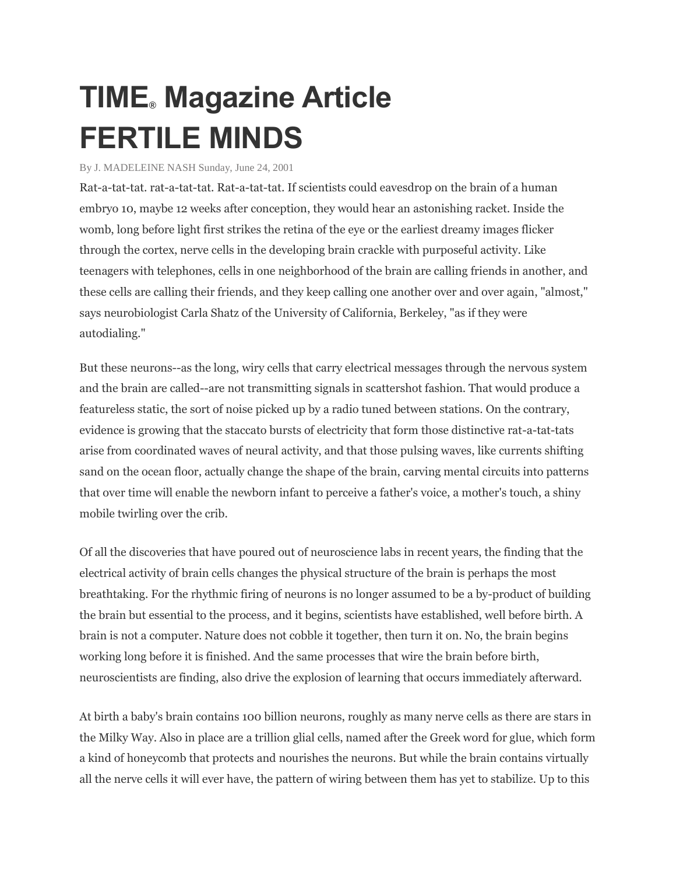# **TIME® Magazine Article FERTILE MINDS**

By J. MADELEINE NASH Sunday, June 24, 2001

Rat-a-tat-tat. rat-a-tat-tat. Rat-a-tat-tat. If scientists could eavesdrop on the brain of a human embryo 10, maybe 12 weeks after conception, they would hear an astonishing racket. Inside the womb, long before light first strikes the retina of the eye or the earliest dreamy images flicker through the cortex, nerve cells in the developing brain crackle with purposeful activity. Like teenagers with telephones, cells in one neighborhood of the brain are calling friends in another, and these cells are calling their friends, and they keep calling one another over and over again, "almost," says neurobiologist Carla Shatz of the University of California, Berkeley, "as if they were autodialing."

But these neurons--as the long, wiry cells that carry electrical messages through the nervous system and the brain are called--are not transmitting signals in scattershot fashion. That would produce a featureless static, the sort of noise picked up by a radio tuned between stations. On the contrary, evidence is growing that the staccato bursts of electricity that form those distinctive rat-a-tat-tats arise from coordinated waves of neural activity, and that those pulsing waves, like currents shifting sand on the ocean floor, actually change the shape of the brain, carving mental circuits into patterns that over time will enable the newborn infant to perceive a father's voice, a mother's touch, a shiny mobile twirling over the crib.

Of all the discoveries that have poured out of neuroscience labs in recent years, the finding that the electrical activity of brain cells changes the physical structure of the brain is perhaps the most breathtaking. For the rhythmic firing of neurons is no longer assumed to be a by-product of building the brain but essential to the process, and it begins, scientists have established, well before birth. A brain is not a computer. Nature does not cobble it together, then turn it on. No, the brain begins working long before it is finished. And the same processes that wire the brain before birth, neuroscientists are finding, also drive the explosion of learning that occurs immediately afterward.

At birth a baby's brain contains 100 billion neurons, roughly as many nerve cells as there are stars in the Milky Way. Also in place are a trillion glial cells, named after the Greek word for glue, which form a kind of honeycomb that protects and nourishes the neurons. But while the brain contains virtually all the nerve cells it will ever have, the pattern of wiring between them has yet to stabilize. Up to this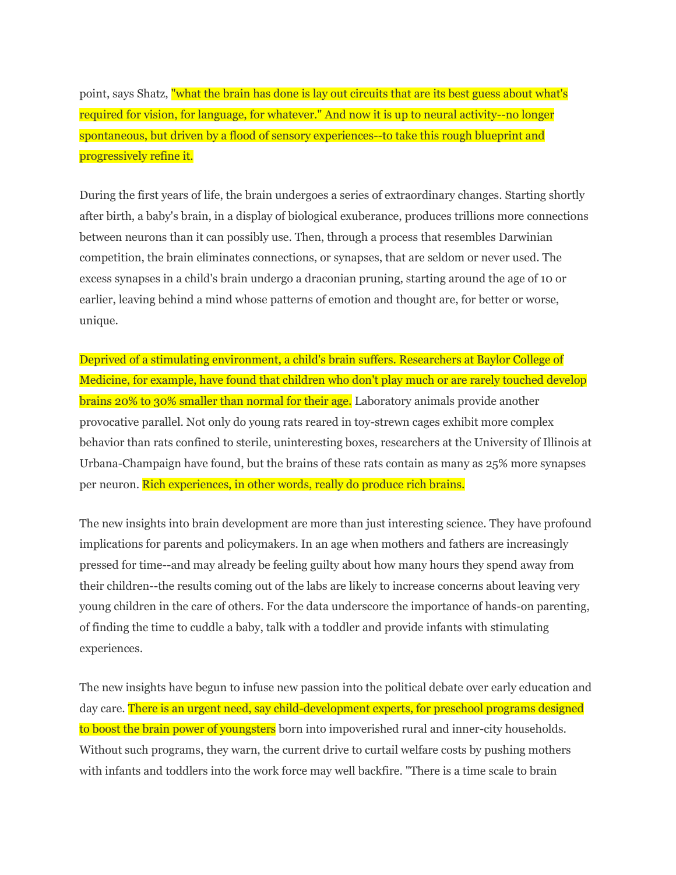point, says Shatz, "what the brain has done is lay out circuits that are its best guess about what's required for vision, for language, for whatever." And now it is up to neural activity--no longer spontaneous, but driven by a flood of sensory experiences--to take this rough blueprint and progressively refine it.

During the first years of life, the brain undergoes a series of extraordinary changes. Starting shortly after birth, a baby's brain, in a display of biological exuberance, produces trillions more connections between neurons than it can possibly use. Then, through a process that resembles Darwinian competition, the brain eliminates connections, or synapses, that are seldom or never used. The excess synapses in a child's brain undergo a draconian pruning, starting around the age of 10 or earlier, leaving behind a mind whose patterns of emotion and thought are, for better or worse, unique.

Deprived of a stimulating environment, a child's brain suffers. Researchers at Baylor College of Medicine, for example, have found that children who don't play much or are rarely touched develop brains 20% to 30% smaller than normal for their age. Laboratory animals provide another provocative parallel. Not only do young rats reared in toy-strewn cages exhibit more complex behavior than rats confined to sterile, uninteresting boxes, researchers at the University of Illinois at Urbana-Champaign have found, but the brains of these rats contain as many as 25% more synapses per neuron. Rich experiences, in other words, really do produce rich brains.

The new insights into brain development are more than just interesting science. They have profound implications for parents and policymakers. In an age when mothers and fathers are increasingly pressed for time--and may already be feeling guilty about how many hours they spend away from their children--the results coming out of the labs are likely to increase concerns about leaving very young children in the care of others. For the data underscore the importance of hands-on parenting, of finding the time to cuddle a baby, talk with a toddler and provide infants with stimulating experiences.

The new insights have begun to infuse new passion into the political debate over early education and day care. There is an urgent need, say child-development experts, for preschool programs designed to boost the brain power of youngsters born into impoverished rural and inner-city households. Without such programs, they warn, the current drive to curtail welfare costs by pushing mothers with infants and toddlers into the work force may well backfire. "There is a time scale to brain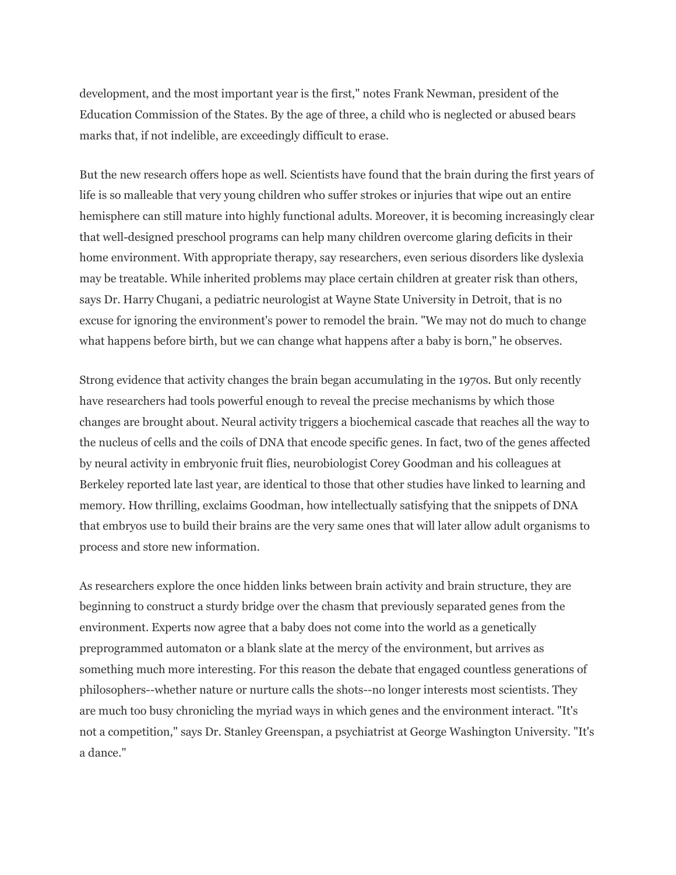development, and the most important year is the first," notes Frank Newman, president of the Education Commission of the States. By the age of three, a child who is neglected or abused bears marks that, if not indelible, are exceedingly difficult to erase.

But the new research offers hope as well. Scientists have found that the brain during the first years of life is so malleable that very young children who suffer strokes or injuries that wipe out an entire hemisphere can still mature into highly functional adults. Moreover, it is becoming increasingly clear that well-designed preschool programs can help many children overcome glaring deficits in their home environment. With appropriate therapy, say researchers, even serious disorders like dyslexia may be treatable. While inherited problems may place certain children at greater risk than others, says Dr. Harry Chugani, a pediatric neurologist at Wayne State University in Detroit, that is no excuse for ignoring the environment's power to remodel the brain. "We may not do much to change what happens before birth, but we can change what happens after a baby is born," he observes.

Strong evidence that activity changes the brain began accumulating in the 1970s. But only recently have researchers had tools powerful enough to reveal the precise mechanisms by which those changes are brought about. Neural activity triggers a biochemical cascade that reaches all the way to the nucleus of cells and the coils of DNA that encode specific genes. In fact, two of the genes affected by neural activity in embryonic fruit flies, neurobiologist Corey Goodman and his colleagues at Berkeley reported late last year, are identical to those that other studies have linked to learning and memory. How thrilling, exclaims Goodman, how intellectually satisfying that the snippets of DNA that embryos use to build their brains are the very same ones that will later allow adult organisms to process and store new information.

As researchers explore the once hidden links between brain activity and brain structure, they are beginning to construct a sturdy bridge over the chasm that previously separated genes from the environment. Experts now agree that a baby does not come into the world as a genetically preprogrammed automaton or a blank slate at the mercy of the environment, but arrives as something much more interesting. For this reason the debate that engaged countless generations of philosophers--whether nature or nurture calls the shots--no longer interests most scientists. They are much too busy chronicling the myriad ways in which genes and the environment interact. "It's not a competition," says Dr. Stanley Greenspan, a psychiatrist at George Washington University. "It's a dance."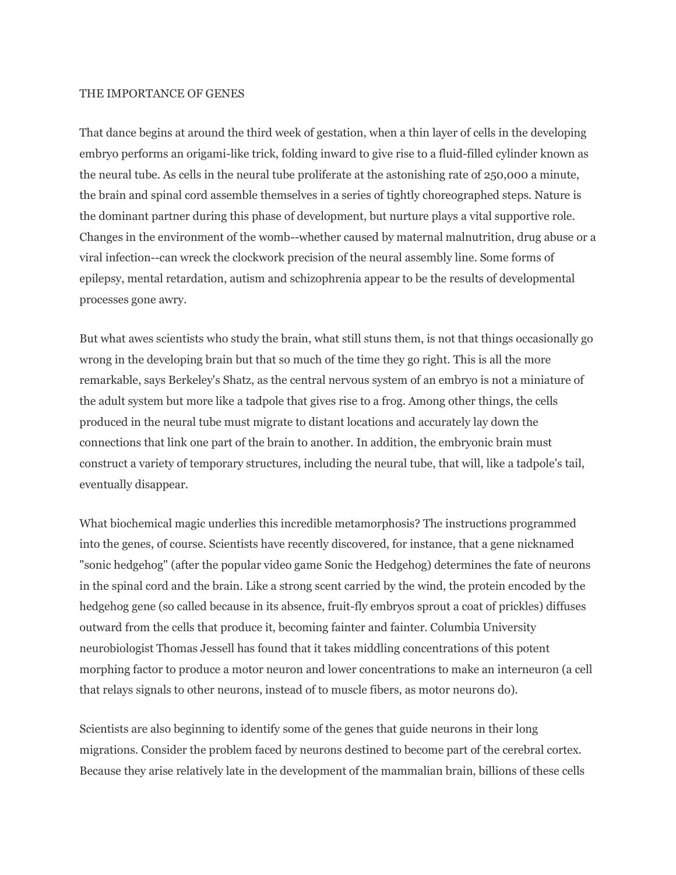#### THE IMPORTANCE OF GENES

That dance begins at around the third week of gestation, when a thin layer of cells in the developing embryo performs an origami-like trick, folding inward to give rise to a fluid-filled cylinder known as the neural tube. As cells in the neural tube proliferate at the astonishing rate of 250,000 a minute, the brain and spinal cord assemble themselves in a series of tightly choreographed steps. Nature is the dominant partner during this phase of development, but nurture plays a vital supportive role. Changes in the environment of the womb--whether caused by maternal malnutrition, drug abuse or a viral infection--can wreck the clockwork precision of the neural assembly line. Some forms of epilepsy, mental retardation, autism and schizophrenia appear to be the results of developmental processes gone awry.

But what awes scientists who study the brain, what still stuns them, is not that things occasionally go wrong in the developing brain but that so much of the time they go right. This is all the more remarkable, says Berkeley's Shatz, as the central nervous system of an embryo is not a miniature of the adult system but more like a tadpole that gives rise to a frog. Among other things, the cells produced in the neural tube must migrate to distant locations and accurately lay down the connections that link one part of the brain to another. In addition, the embryonic brain must construct a variety of temporary structures, including the neural tube, that will, like a tadpole's tail, eventually disappear.

What biochemical magic underlies this incredible metamorphosis? The instructions programmed into the genes, of course. Scientists have recently discovered, for instance, that a gene nicknamed "sonic hedgehog" (after the popular video game Sonic the Hedgehog) determines the fate of neurons in the spinal cord and the brain. Like a strong scent carried by the wind, the protein encoded by the hedgehog gene (so called because in its absence, fruit-fly embryos sprout a coat of prickles) diffuses outward from the cells that produce it, becoming fainter and fainter. Columbia University neurobiologist Thomas Jessell has found that it takes middling concentrations of this potent morphing factor to produce a motor neuron and lower concentrations to make an interneuron (a cell that relays signals to other neurons, instead of to muscle fibers, as motor neurons do).

Scientists are also beginning to identify some of the genes that guide neurons in their long migrations. Consider the problem faced by neurons destined to become part of the cerebral cortex. Because they arise relatively late in the development of the mammalian brain, billions of these cells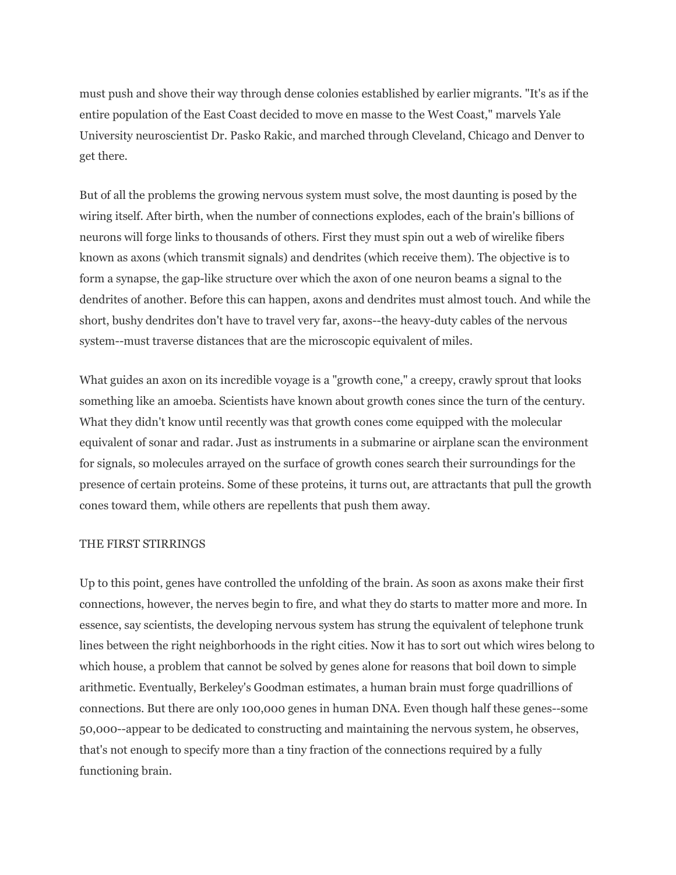must push and shove their way through dense colonies established by earlier migrants. "It's as if the entire population of the East Coast decided to move en masse to the West Coast," marvels Yale University neuroscientist Dr. Pasko Rakic, and marched through Cleveland, Chicago and Denver to get there.

But of all the problems the growing nervous system must solve, the most daunting is posed by the wiring itself. After birth, when the number of connections explodes, each of the brain's billions of neurons will forge links to thousands of others. First they must spin out a web of wirelike fibers known as axons (which transmit signals) and dendrites (which receive them). The objective is to form a synapse, the gap-like structure over which the axon of one neuron beams a signal to the dendrites of another. Before this can happen, axons and dendrites must almost touch. And while the short, bushy dendrites don't have to travel very far, axons--the heavy-duty cables of the nervous system--must traverse distances that are the microscopic equivalent of miles.

What guides an axon on its incredible voyage is a "growth cone," a creepy, crawly sprout that looks something like an amoeba. Scientists have known about growth cones since the turn of the century. What they didn't know until recently was that growth cones come equipped with the molecular equivalent of sonar and radar. Just as instruments in a submarine or airplane scan the environment for signals, so molecules arrayed on the surface of growth cones search their surroundings for the presence of certain proteins. Some of these proteins, it turns out, are attractants that pull the growth cones toward them, while others are repellents that push them away.

### THE FIRST STIRRINGS

Up to this point, genes have controlled the unfolding of the brain. As soon as axons make their first connections, however, the nerves begin to fire, and what they do starts to matter more and more. In essence, say scientists, the developing nervous system has strung the equivalent of telephone trunk lines between the right neighborhoods in the right cities. Now it has to sort out which wires belong to which house, a problem that cannot be solved by genes alone for reasons that boil down to simple arithmetic. Eventually, Berkeley's Goodman estimates, a human brain must forge quadrillions of connections. But there are only 100,000 genes in human DNA. Even though half these genes--some 50,000--appear to be dedicated to constructing and maintaining the nervous system, he observes, that's not enough to specify more than a tiny fraction of the connections required by a fully functioning brain.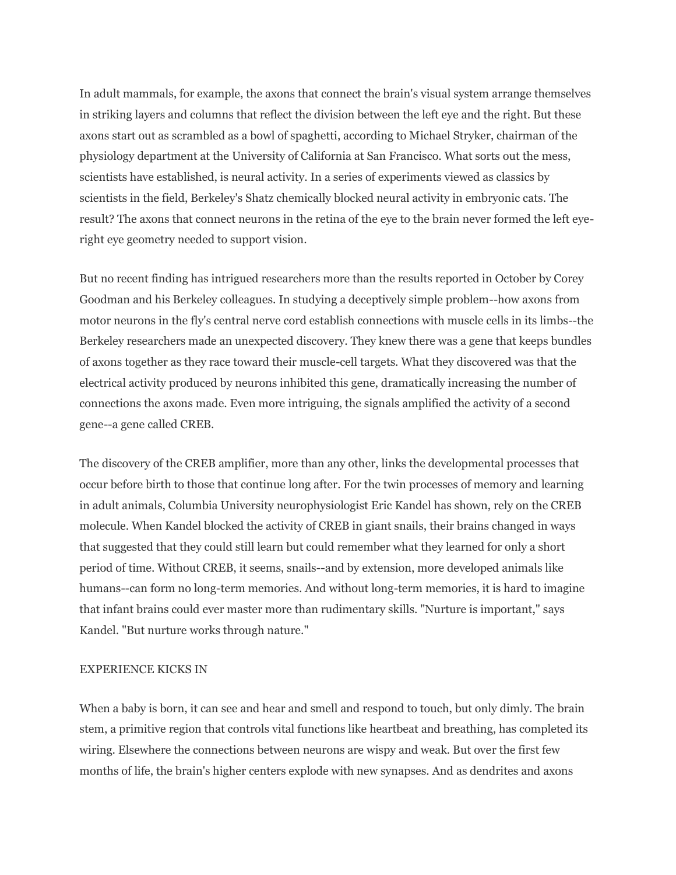In adult mammals, for example, the axons that connect the brain's visual system arrange themselves in striking layers and columns that reflect the division between the left eye and the right. But these axons start out as scrambled as a bowl of spaghetti, according to Michael Stryker, chairman of the physiology department at the University of California at San Francisco. What sorts out the mess, scientists have established, is neural activity. In a series of experiments viewed as classics by scientists in the field, Berkeley's Shatz chemically blocked neural activity in embryonic cats. The result? The axons that connect neurons in the retina of the eye to the brain never formed the left eyeright eye geometry needed to support vision.

But no recent finding has intrigued researchers more than the results reported in October by Corey Goodman and his Berkeley colleagues. In studying a deceptively simple problem--how axons from motor neurons in the fly's central nerve cord establish connections with muscle cells in its limbs--the Berkeley researchers made an unexpected discovery. They knew there was a gene that keeps bundles of axons together as they race toward their muscle-cell targets. What they discovered was that the electrical activity produced by neurons inhibited this gene, dramatically increasing the number of connections the axons made. Even more intriguing, the signals amplified the activity of a second gene--a gene called CREB.

The discovery of the CREB amplifier, more than any other, links the developmental processes that occur before birth to those that continue long after. For the twin processes of memory and learning in adult animals, Columbia University neurophysiologist Eric Kandel has shown, rely on the CREB molecule. When Kandel blocked the activity of CREB in giant snails, their brains changed in ways that suggested that they could still learn but could remember what they learned for only a short period of time. Without CREB, it seems, snails--and by extension, more developed animals like humans--can form no long-term memories. And without long-term memories, it is hard to imagine that infant brains could ever master more than rudimentary skills. "Nurture is important," says Kandel. "But nurture works through nature."

## EXPERIENCE KICKS IN

When a baby is born, it can see and hear and smell and respond to touch, but only dimly. The brain stem, a primitive region that controls vital functions like heartbeat and breathing, has completed its wiring. Elsewhere the connections between neurons are wispy and weak. But over the first few months of life, the brain's higher centers explode with new synapses. And as dendrites and axons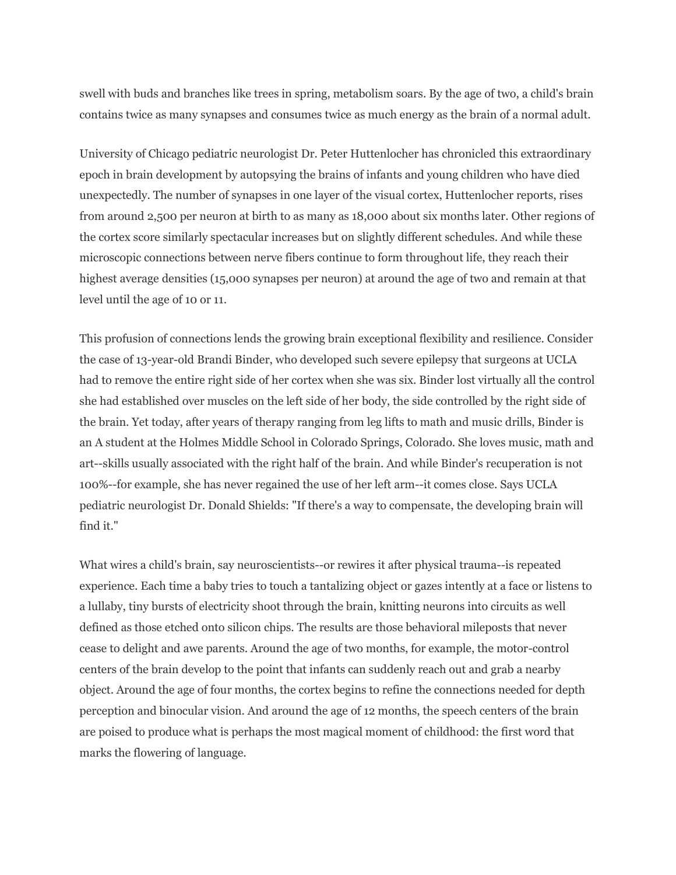swell with buds and branches like trees in spring, metabolism soars. By the age of two, a child's brain contains twice as many synapses and consumes twice as much energy as the brain of a normal adult.

University of Chicago pediatric neurologist Dr. Peter Huttenlocher has chronicled this extraordinary epoch in brain development by autopsying the brains of infants and young children who have died unexpectedly. The number of synapses in one layer of the visual cortex, Huttenlocher reports, rises from around 2,500 per neuron at birth to as many as 18,000 about six months later. Other regions of the cortex score similarly spectacular increases but on slightly different schedules. And while these microscopic connections between nerve fibers continue to form throughout life, they reach their highest average densities (15,000 synapses per neuron) at around the age of two and remain at that level until the age of 10 or 11.

This profusion of connections lends the growing brain exceptional flexibility and resilience. Consider the case of 13-year-old Brandi Binder, who developed such severe epilepsy that surgeons at UCLA had to remove the entire right side of her cortex when she was six. Binder lost virtually all the control she had established over muscles on the left side of her body, the side controlled by the right side of the brain. Yet today, after years of therapy ranging from leg lifts to math and music drills, Binder is an A student at the Holmes Middle School in Colorado Springs, Colorado. She loves music, math and art--skills usually associated with the right half of the brain. And while Binder's recuperation is not 100%--for example, she has never regained the use of her left arm--it comes close. Says UCLA pediatric neurologist Dr. Donald Shields: "If there's a way to compensate, the developing brain will find it."

What wires a child's brain, say neuroscientists--or rewires it after physical trauma--is repeated experience. Each time a baby tries to touch a tantalizing object or gazes intently at a face or listens to a lullaby, tiny bursts of electricity shoot through the brain, knitting neurons into circuits as well defined as those etched onto silicon chips. The results are those behavioral mileposts that never cease to delight and awe parents. Around the age of two months, for example, the motor-control centers of the brain develop to the point that infants can suddenly reach out and grab a nearby object. Around the age of four months, the cortex begins to refine the connections needed for depth perception and binocular vision. And around the age of 12 months, the speech centers of the brain are poised to produce what is perhaps the most magical moment of childhood: the first word that marks the flowering of language.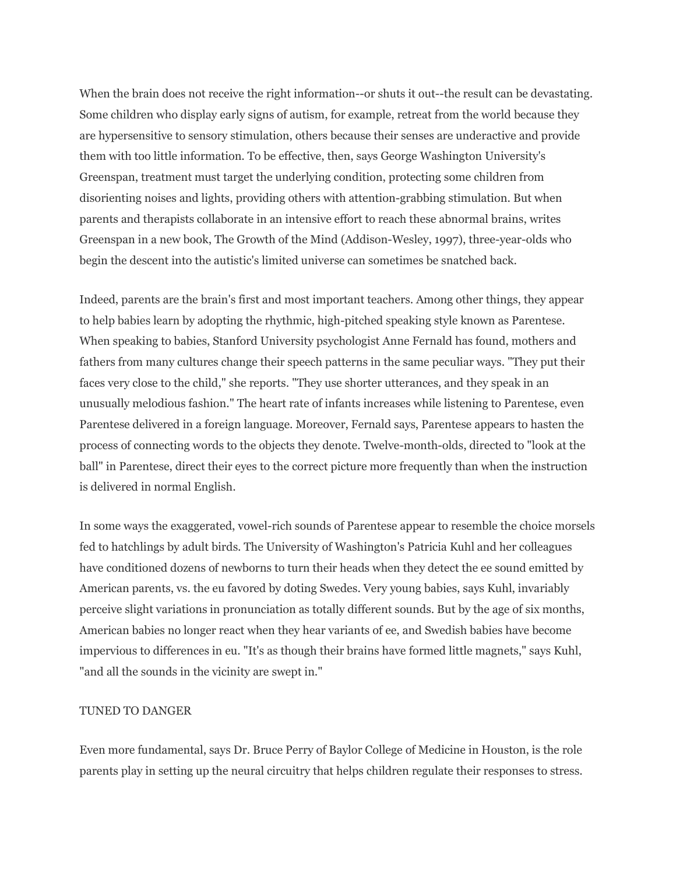When the brain does not receive the right information--or shuts it out--the result can be devastating. Some children who display early signs of autism, for example, retreat from the world because they are hypersensitive to sensory stimulation, others because their senses are underactive and provide them with too little information. To be effective, then, says George Washington University's Greenspan, treatment must target the underlying condition, protecting some children from disorienting noises and lights, providing others with attention-grabbing stimulation. But when parents and therapists collaborate in an intensive effort to reach these abnormal brains, writes Greenspan in a new book, The Growth of the Mind (Addison-Wesley, 1997), three-year-olds who begin the descent into the autistic's limited universe can sometimes be snatched back.

Indeed, parents are the brain's first and most important teachers. Among other things, they appear to help babies learn by adopting the rhythmic, high-pitched speaking style known as Parentese. When speaking to babies, Stanford University psychologist Anne Fernald has found, mothers and fathers from many cultures change their speech patterns in the same peculiar ways. "They put their faces very close to the child," she reports. "They use shorter utterances, and they speak in an unusually melodious fashion." The heart rate of infants increases while listening to Parentese, even Parentese delivered in a foreign language. Moreover, Fernald says, Parentese appears to hasten the process of connecting words to the objects they denote. Twelve-month-olds, directed to "look at the ball" in Parentese, direct their eyes to the correct picture more frequently than when the instruction is delivered in normal English.

In some ways the exaggerated, vowel-rich sounds of Parentese appear to resemble the choice morsels fed to hatchlings by adult birds. The University of Washington's Patricia Kuhl and her colleagues have conditioned dozens of newborns to turn their heads when they detect the ee sound emitted by American parents, vs. the eu favored by doting Swedes. Very young babies, says Kuhl, invariably perceive slight variations in pronunciation as totally different sounds. But by the age of six months, American babies no longer react when they hear variants of ee, and Swedish babies have become impervious to differences in eu. "It's as though their brains have formed little magnets," says Kuhl, "and all the sounds in the vicinity are swept in."

### TUNED TO DANGER

Even more fundamental, says Dr. Bruce Perry of Baylor College of Medicine in Houston, is the role parents play in setting up the neural circuitry that helps children regulate their responses to stress.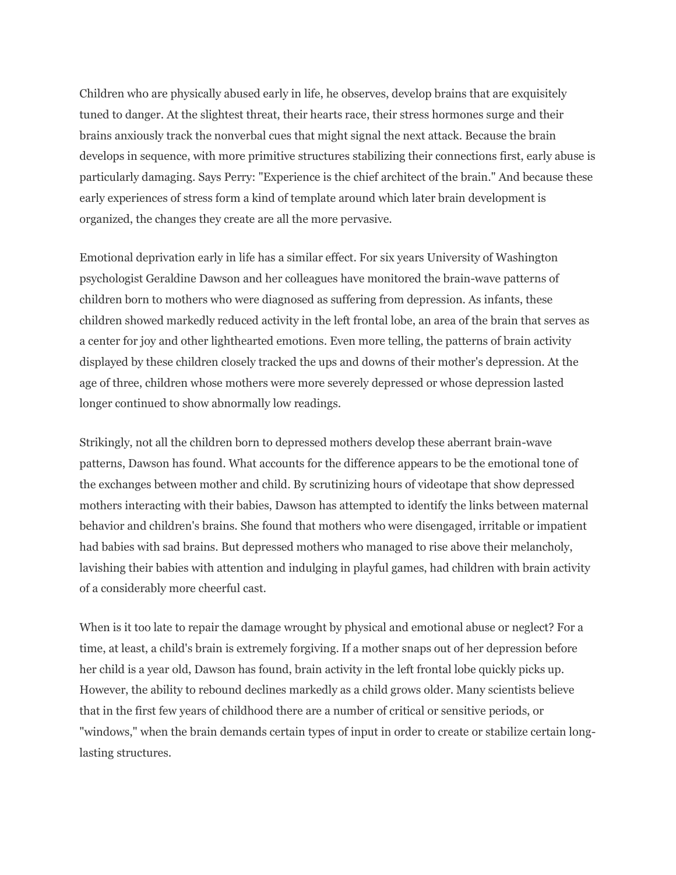Children who are physically abused early in life, he observes, develop brains that are exquisitely tuned to danger. At the slightest threat, their hearts race, their stress hormones surge and their brains anxiously track the nonverbal cues that might signal the next attack. Because the brain develops in sequence, with more primitive structures stabilizing their connections first, early abuse is particularly damaging. Says Perry: "Experience is the chief architect of the brain." And because these early experiences of stress form a kind of template around which later brain development is organized, the changes they create are all the more pervasive.

Emotional deprivation early in life has a similar effect. For six years University of Washington psychologist Geraldine Dawson and her colleagues have monitored the brain-wave patterns of children born to mothers who were diagnosed as suffering from depression. As infants, these children showed markedly reduced activity in the left frontal lobe, an area of the brain that serves as a center for joy and other lighthearted emotions. Even more telling, the patterns of brain activity displayed by these children closely tracked the ups and downs of their mother's depression. At the age of three, children whose mothers were more severely depressed or whose depression lasted longer continued to show abnormally low readings.

Strikingly, not all the children born to depressed mothers develop these aberrant brain-wave patterns, Dawson has found. What accounts for the difference appears to be the emotional tone of the exchanges between mother and child. By scrutinizing hours of videotape that show depressed mothers interacting with their babies, Dawson has attempted to identify the links between maternal behavior and children's brains. She found that mothers who were disengaged, irritable or impatient had babies with sad brains. But depressed mothers who managed to rise above their melancholy, lavishing their babies with attention and indulging in playful games, had children with brain activity of a considerably more cheerful cast.

When is it too late to repair the damage wrought by physical and emotional abuse or neglect? For a time, at least, a child's brain is extremely forgiving. If a mother snaps out of her depression before her child is a year old, Dawson has found, brain activity in the left frontal lobe quickly picks up. However, the ability to rebound declines markedly as a child grows older. Many scientists believe that in the first few years of childhood there are a number of critical or sensitive periods, or "windows," when the brain demands certain types of input in order to create or stabilize certain longlasting structures.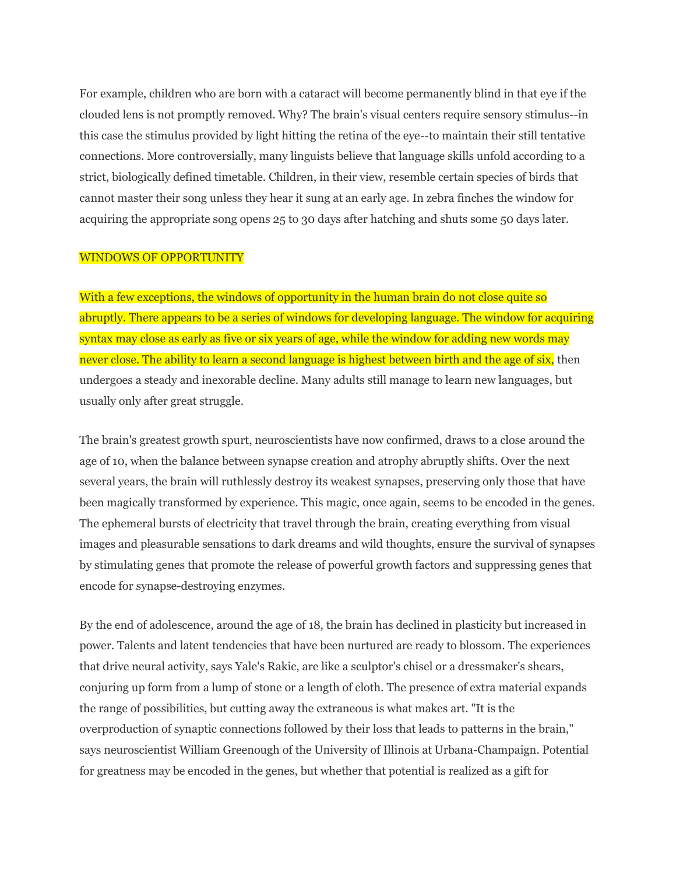For example, children who are born with a cataract will become permanently blind in that eye if the clouded lens is not promptly removed. Why? The brain's visual centers require sensory stimulus--in this case the stimulus provided by light hitting the retina of the eye--to maintain their still tentative connections. More controversially, many linguists believe that language skills unfold according to a strict, biologically defined timetable. Children, in their view, resemble certain species of birds that cannot master their song unless they hear it sung at an early age. In zebra finches the window for acquiring the appropriate song opens 25 to 30 days after hatching and shuts some 50 days later.

# WINDOWS OF OPPORTUNITY

With a few exceptions, the windows of opportunity in the human brain do not close quite so abruptly. There appears to be a series of windows for developing language. The window for acquiring syntax may close as early as five or six years of age, while the window for adding new words may never close. The ability to learn a second language is highest between birth and the age of six, then undergoes a steady and inexorable decline. Many adults still manage to learn new languages, but usually only after great struggle.

The brain's greatest growth spurt, neuroscientists have now confirmed, draws to a close around the age of 10, when the balance between synapse creation and atrophy abruptly shifts. Over the next several years, the brain will ruthlessly destroy its weakest synapses, preserving only those that have been magically transformed by experience. This magic, once again, seems to be encoded in the genes. The ephemeral bursts of electricity that travel through the brain, creating everything from visual images and pleasurable sensations to dark dreams and wild thoughts, ensure the survival of synapses by stimulating genes that promote the release of powerful growth factors and suppressing genes that encode for synapse-destroying enzymes.

By the end of adolescence, around the age of 18, the brain has declined in plasticity but increased in power. Talents and latent tendencies that have been nurtured are ready to blossom. The experiences that drive neural activity, says Yale's Rakic, are like a sculptor's chisel or a dressmaker's shears, conjuring up form from a lump of stone or a length of cloth. The presence of extra material expands the range of possibilities, but cutting away the extraneous is what makes art. "It is the overproduction of synaptic connections followed by their loss that leads to patterns in the brain," says neuroscientist William Greenough of the University of Illinois at Urbana-Champaign. Potential for greatness may be encoded in the genes, but whether that potential is realized as a gift for